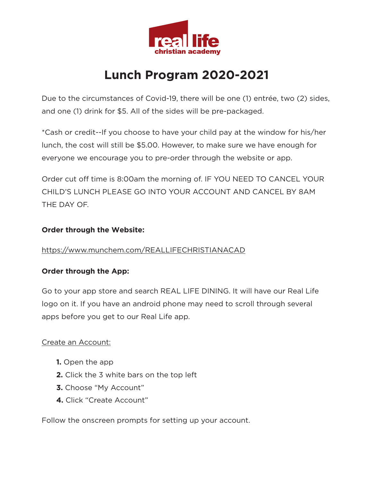

# **Lunch Program 2020-2021**

Due to the circumstances of Covid-19, there will be one (1) entrée, two (2) sides, and one (1) drink for \$5. All of the sides will be pre-packaged.

\*Cash or credit--If you choose to have your child pay at the window for his/her lunch, the cost will still be \$5.00. However, to make sure we have enough for everyone we encourage you to pre-order through the website or app.

Order cut off time is 8:00am the morning of. IF YOU NEED TO CANCEL YOUR CHILD'S LUNCH PLEASE GO INTO YOUR ACCOUNT AND CANCEL BY 8AM THE DAY OF.

### **Order through the Website:**

# <https://www.munchem.com/REALLIFECHRISTIANACAD>

#### **Order through the App:**

Go to your app store and search REAL LIFE DINING. It will have our Real Life logo on it. If you have an android phone may need to scroll through several apps before you get to our Real Life app.

# Create an Account:

- **1.** Open the app
- **2.** Click the 3 white bars on the top left
- **3.** Choose "My Account"
- **4.** Click "Create Account"

Follow the onscreen prompts for setting up your account.